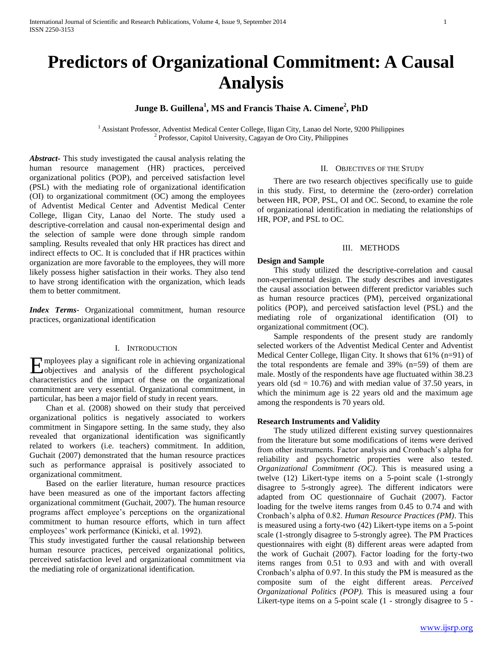# **Predictors of Organizational Commitment: A Causal Analysis**

## **Junge B. Guillena<sup>1</sup> , MS and Francis Thaise A. Cimene<sup>2</sup> , PhD**

<sup>1</sup> Assistant Professor, Adventist Medical Center College, Iligan City, Lanao del Norte, 9200 Philippines 2 Professor, Capitol University, Cagayan de Oro City, Philippines

*Abstract***-** This study investigated the causal analysis relating the human resource management (HR) practices, perceived organizational politics (POP), and perceived satisfaction level (PSL) with the mediating role of organizational identification (OI) to organizational commitment (OC) among the employees of Adventist Medical Center and Adventist Medical Center College, Iligan City, Lanao del Norte. The study used a descriptive-correlation and causal non-experimental design and the selection of sample were done through simple random sampling. Results revealed that only HR practices has direct and indirect effects to OC. It is concluded that if HR practices within organization are more favorable to the employees, they will more likely possess higher satisfaction in their works. They also tend to have strong identification with the organization, which leads them to better commitment.

*Index Terms*- Organizational commitment, human resource practices, organizational identification

### I. INTRODUCTION

mployees play a significant role in achieving organizational Eobjectives and analysis of the different psychological characteristics and the impact of these on the organizational commitment are very essential. Organizational commitment, in particular, has been a major field of study in recent years.

Chan et al. (2008) showed on their study that perceived organizational politics is negatively associated to workers commitment in Singapore setting. In the same study, they also revealed that organizational identification was significantly related to workers (i.e. teachers) commitment. In addition, Guchait (2007) demonstrated that the human resource practices such as performance appraisal is positively associated to organizational commitment.

Based on the earlier literature, human resource practices have been measured as one of the important factors affecting organizational commitment (Guchait, 2007). The human resource programs affect employee's perceptions on the organizational commitment to human resource efforts, which in turn affect employees' work performance (Kinicki, et al. 1992).

This study investigated further the causal relationship between human resource practices, perceived organizational politics, perceived satisfaction level and organizational commitment via the mediating role of organizational identification.

### II. OBJECTIVES OF THE STUDY

There are two research objectives specifically use to guide in this study. First, to determine the (zero-order) correlation between HR, POP, PSL, OI and OC. Second, to examine the role of organizational identification in mediating the relationships of HR, POP, and PSL to OC.

### III. METHODS

### **Design and Sample**

This study utilized the descriptive-correlation and causal non-experimental design. The study describes and investigates the causal association between different predictor variables such as human resource practices (PM), perceived organizational politics (POP), and perceived satisfaction level (PSL) and the mediating role of organizational identification (OI) to organizational commitment (OC).

Sample respondents of the present study are randomly selected workers of the Adventist Medical Center and Adventist Medical Center College, Iligan City. It shows that 61% (n=91) of the total respondents are female and 39% (n=59) of them are male. Mostly of the respondents have age fluctuated within 38.23 years old (sd =  $10.76$ ) and with median value of 37.50 years, in which the minimum age is 22 years old and the maximum age among the respondents is 70 years old.

### **Research Instruments and Validity**

The study utilized different existing survey questionnaires from the literature but some modifications of items were derived from other instruments. Factor analysis and Cronbach's alpha for reliability and psychometric properties were also tested. *Organizational Commitment (OC)*. This is measured using a twelve (12) Likert-type items on a 5-point scale (1-strongly disagree to 5-strongly agree). The different indicators were adapted from OC questionnaire of Guchait (2007). Factor loading for the twelve items ranges from 0.45 to 0.74 and with Cronbach's alpha of 0.82. *Human Resource Practices (PM)*. This is measured using a forty-two (42) Likert-type items on a 5-point scale (1-strongly disagree to 5-strongly agree). The PM Practices questionnaires with eight (8) different areas were adapted from the work of Guchait (2007). Factor loading for the forty-two items ranges from 0.51 to 0.93 and with and with overall Cronbach's alpha of 0.97. In this study the PM is measured as the composite sum of the eight different areas. *Perceived Organizational Politics (POP).* This is measured using a four Likert-type items on a 5-point scale (1 - strongly disagree to 5 -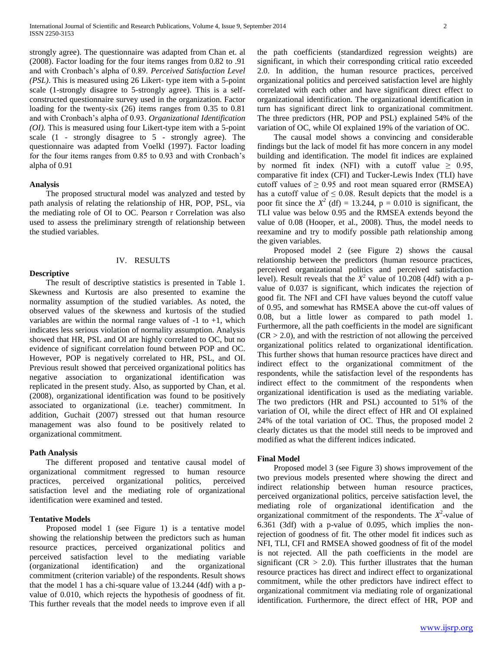strongly agree). The questionnaire was adapted from Chan et. al (2008). Factor loading for the four items ranges from 0.82 to .91 and with Cronbach's alpha of 0.89. *Perceived Satisfaction Level (PSL)*. This is measured using 26 Likert- type item with a 5-point scale (1-strongly disagree to 5-strongly agree). This is a selfconstructed questionnaire survey used in the organization. Factor loading for the twenty-six (26) items ranges from 0.35 to 0.81 and with Cronbach's alpha of 0.93. *Organizational Identification (OI).* This is measured using four Likert-type item with a 5-point scale (1 - strongly disagree to 5 - strongly agree). The questionnaire was adapted from Voelkl (1997). Factor loading for the four items ranges from 0.85 to 0.93 and with Cronbach's alpha of 0.91

### **Analysis**

**Descriptive**

The proposed structural model was analyzed and tested by path analysis of relating the relationship of HR, POP, PSL, via the mediating role of OI to OC. Pearson r Correlation was also used to assess the preliminary strength of relationship between the studied variables.

# IV. RESULTS

The result of descriptive statistics is presented in Table 1. Skewness and Kurtosis are also presented to examine the normality assumption of the studied variables. As noted, the observed values of the skewness and kurtosis of the studied variables are within the normal range values of  $-1$  to  $+1$ , which indicates less serious violation of normality assumption. Analysis showed that HR, PSL and OI are highly correlated to OC, but no evidence of significant correlation found between POP and OC. However, POP is negatively correlated to HR, PSL, and OI. Previous result showed that perceived organizational politics has negative association to organizational identification was replicated in the present study. Also, as supported by Chan, et al. (2008), organizational identification was found to be positively associated to organizational (i.e. teacher) commitment. In addition, Guchait (2007) stressed out that human resource management was also found to be positively related to organizational commitment.

### **Path Analysis**

The different proposed and tentative causal model of organizational commitment regressed to human resource practices, perceived organizational politics, perceived satisfaction level and the mediating role of organizational identification were examined and tested.

### **Tentative Models**

Proposed model 1 (see Figure 1) is a tentative model showing the relationship between the predictors such as human resource practices, perceived organizational politics and perceived satisfaction level to the mediating variable (organizational identification) and the organizational commitment (criterion variable) of the respondents. Result shows that the model 1 has a chi-square value of 13.244 (4df) with a pvalue of 0.010, which rejects the hypothesis of goodness of fit. This further reveals that the model needs to improve even if all

the path coefficients (standardized regression weights) are significant, in which their corresponding critical ratio exceeded 2.0. In addition, the human resource practices, perceived organizational politics and perceived satisfaction level are highly correlated with each other and have significant direct effect to organizational identification. The organizational identification in turn has significant direct link to organizational commitment. The three predictors (HR, POP and PSL) explained 54% of the variation of OC, while OI explained 19% of the variation of OC.

The causal model shows a convincing and considerable findings but the lack of model fit has more concern in any model building and identification. The model fit indices are explained by normed fit index (NFI) with a cutoff value  $\geq$  0.95, comparative fit index (CFI) and Tucker-Lewis Index (TLI) have cutoff values of  $\geq$  0.95 and root mean squared error (RMSEA) has a cutoff value of  $\leq$  0.08. Result depicts that the model is a poor fit since the  $X^2$  (df) = 13.244,  $p = 0.010$  is significant, the TLI value was below 0.95 and the RMSEA extends beyond the value of 0.08 (Hooper, et al., 2008). Thus, the model needs to reexamine and try to modify possible path relationship among the given variables.

Proposed model 2 (see Figure 2) shows the causal relationship between the predictors (human resource practices, perceived organizational politics and perceived satisfaction level). Result reveals that the  $X^2$  value of 10.208 (4df) with a pvalue of 0.037 is significant, which indicates the rejection of good fit. The NFI and CFI have values beyond the cutoff value of 0.95, and somewhat has RMSEA above the cut-off values of 0.08, but a little lower as compared to path model 1. Furthermore, all the path coefficients in the model are significant  $(CR > 2.0)$ , and with the restriction of not allowing the perceived organizational politics related to organizational identification. This further shows that human resource practices have direct and indirect effect to the organizational commitment of the respondents, while the satisfaction level of the respondents has indirect effect to the commitment of the respondents when organizational identification is used as the mediating variable. The two predictors (HR and PSL) accounted to 51% of the variation of OI, while the direct effect of HR and OI explained 24% of the total variation of OC. Thus, the proposed model 2 clearly dictates us that the model still needs to be improved and modified as what the different indices indicated.

### **Final Model**

Proposed model 3 (see Figure 3) shows improvement of the two previous models presented where showing the direct and indirect relationship between human resource practices, perceived organizational politics, perceive satisfaction level, the mediating role of organizational identification and the organizational commitment of the respondents. The  $X^2$ -value of 6.361 (3df) with a p-value of 0.095, which implies the nonrejection of goodness of fit. The other model fit indices such as NFI, TLI, CFI and RMSEA showed goodness of fit of the model is not rejected. All the path coefficients in the model are significant ( $CR > 2.0$ ). This further illustrates that the human resource practices has direct and indirect effect to organizational commitment, while the other predictors have indirect effect to organizational commitment via mediating role of organizational identification. Furthermore, the direct effect of HR, POP and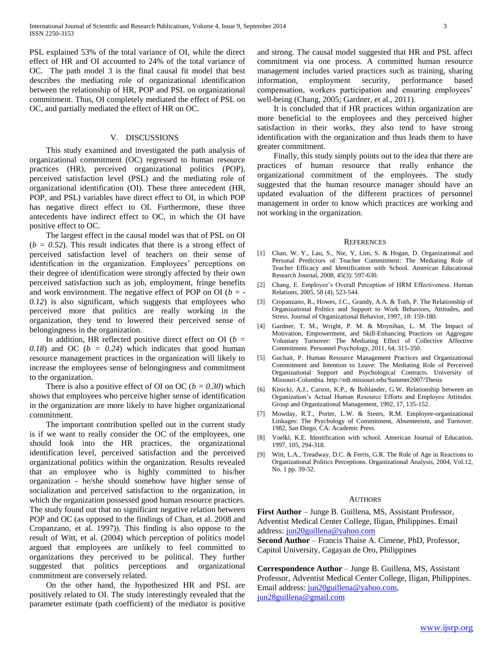PSL explained 53% of the total variance of OI, while the direct effect of HR and OI accounted to 24% of the total variance of OC. The path model 3 is the final causal fit model that best describes the mediating role of organizational identification between the relationship of HR, POP and PSL on organizational commitment. Thus, OI completely mediated the effect of PSL on OC, and partially mediated the effect of HR on OC.

### V. DISCUSSIONS

This study examined and investigated the path analysis of organizational commitment (OC) regressed to human resource practices (HR), perceived organizational politics (POP), perceived satisfaction level (PSL) and the mediating role of organizational identification (OI). These three antecedent (HR, POP, and PSL) variables have direct effect to OI, in which POP has negative direct effect to OI. Furthermore, these three antecedents have indirect effect to OC, in which the OI have positive effect to OC.

The largest effect in the causal model was that of PSL on OI  $(b = 0.52)$ . This result indicates that there is a strong effect of perceived satisfaction level of teachers on their sense of identification in the organization. Employees' perceptions on their degree of identification were strongly affected by their own perceived satisfaction such as job, employment, fringe benefits and work environment. The negative effect of POP on OI (*b = - 0.12*) is also significant, which suggests that employees who perceived more that politics are really working in the organization, they tend to lowered their perceived sense of belongingness in the organization.

In addition, HR reflected positive direct effect on OI ( $b =$ 0.18) and OC ( $b = 0.24$ ) which indicates that good human resource management practices in the organization will likely to increase the employees sense of belongingness and commitment to the organization.

There is also a positive effect of OI on OC ( $b = 0.30$ ) which shows that employees who perceive higher sense of identification in the organization are more likely to have higher organizational commitment.

The important contribution spelled out in the current study is if we want to really consider the OC of the employees, one should look into the HR practices, the organizational identification level, perceived satisfaction and the perceived organizational politics within the organization. Results revealed that an employee who is highly committed to his/her organization - he/she should somehow have higher sense of socialization and perceived satisfaction to the organization, in which the organization possessed good human resource practices. The study found out that no significant negative relation between POP and OC (as opposed to the findings of Chan, et al. 2008 and Cropanzano, et al. 1997)). This finding is also oppose to the result of Witt, et al. (2004) which perception of politics model argued that employees are unlikely to feel committed to organizations they perceived to be political. They further suggested that politics perceptions and organizational commitment are conversely related.

On the other hand, the hypothesized HR and PSL are positively related to OI. The study interestingly revealed that the parameter estimate (path coefficient) of the mediator is positive and strong. The causal model suggested that HR and PSL affect commitment via one process. A committed human resource management includes varied practices such as training, sharing information, employment security, performance based compensation, workers participation and ensuring employees' well-being (Chang, 2005; Gardner, et al., 2011).

It is concluded that if HR practices within organization are more beneficial to the employees and they perceived higher satisfaction in their works, they also tend to have strong identification with the organization and thus leads them to have greater commitment.

Finally, this study simply points out to the idea that there are practices of human resource that really enhance the organizational commitment of the employees. The study suggested that the human resource manager should have an updated evaluation of the different practices of personnel management in order to know which practices are working and not working in the organization.

#### **REFERENCES**

- [1] Chan, W. Y., Lau, S., Nie, Y, Lim, S. & Hogan, D. Organizational and Personal Predictors of Teacher Commitment: The Mediating Role of Teacher Efficacy and Identification with School. American Educational Research Journal, 2008, 45(3): 597-630.
- [2] Chang, E. Employee's Overall Perception of HRM Effectiveness. Human Relations, 2005, 58 (4), 523-544.
- [3] Cropanzano, R., Howes, J.C., Grandy, A.A. & Toth, P. The Relationship of Organizational Politics and Support to Work Behaviors, Attitudes, and Stress. Journal of Organizational Behavior, 1997, 18: 159-180.
- [4] Gardner, T. M., Wright, P. M. & Moynihan, L. M. The Impact of Motivation, Empowerment, and Skill-Enhancing Practices on Aggregate Voluntary Turnover: The Mediating Effect of Collective Affective Commitment. Personnel Psychology, 2011, 64, 315-350.
- [5] Guchait, P. Human Resource Management Practices and Organizational Commitment and Intention to Leave: The Mediating Role of Perceived Organizational Support and Psychological Contracts. University of Missouri-Columbia. http://edt.missouri.edu/Summer2007/Thesis
- [6] Kinicki, A.J., Carson, K.P., & Bohlander, G.W. Relationship between an Organization's Actual Human Resource Efforts and Employee Attitudes. Group and Organizational Management, 1992, 17, 135-152.
- [7] Mowday, R.T., Porter, L.W. & Steers, R.M. Employee-organizational Linkages: The Psychology of Commitment, Absenteeism, and Turnover. 1982, San Diego, CA: Academic Press.
- [8] Voelkl, K.E. Identification with school. American Journal of Education, 1997, 105, 294-318.
- [9] Witt, L.A., Treadway, D.C. & Ferris, G.R. The Role of Age in Reactions to Organizational Politics Perceptions. Organizational Analysis, 2004, Vol.12, No. 1 pp. 39-52.

#### **AUTHORS**

**First Author** – Junge B. Guillena, MS, Assistant Professor, Adventist Medical Center College, Iligan, Philippines. Email address: [jun20guillena@yahoo.com](mailto:jun20guillena@yahoo.com)

**Second Author** – Francis Thaise A. Cimene, PhD, Professor, Capitol University, Cagayan de Oro, Philippines

**Correspondence Author** – Junge B. Guillena, MS, Assistant Professor, Adventist Medical Center College, Iligan, Philippines. Email address: [jun20guillena@yahoo.com,](mailto:jun20guillena@yahoo.com) [jun28guillena@gmail.com](mailto:jun28guillena@gmail.com)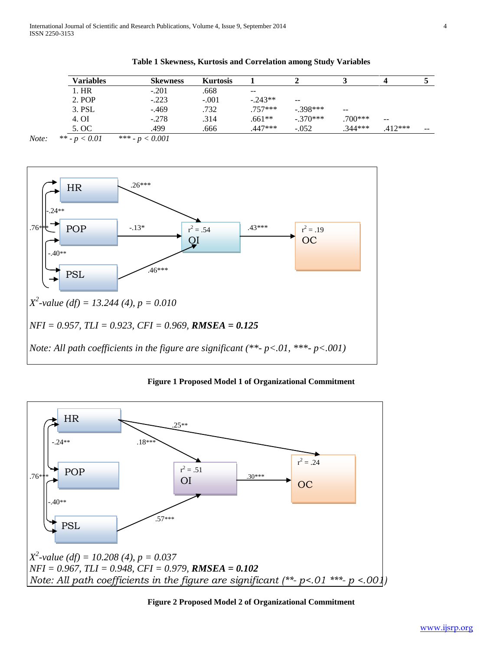**Table 1 Skewness, Kurtosis and Correlation among Study Variables**

| Variables | <b>Skewness</b> | <b>Kurtosis</b> |           |               |           |           |       |
|-----------|-----------------|-----------------|-----------|---------------|-----------|-----------|-------|
| l. HR     | $-.201$         | .668            | $- -$     |               |           |           |       |
| 2. POP    | $-.223$         | $-.001$         | $-.243**$ | $\sim$ $\sim$ |           |           |       |
| 3. PSL    | $-469$          | .732            | $.757***$ | $-.398***$    | $- -$     |           |       |
| 4. OI     | $-.278$         | .314            | .661**    | $-.370***$    | .700***   | $- -$     |       |
| 5. OC     | .499            | .666            | .447***   | $-.052$       | $.344***$ | $.412***$ | $- -$ |

*Note: \*\* - p < 0.01 \*\*\* - p < 0.001*



**Figure 1 Proposed Model 1 of Organizational Commitment**



**Figure 2 Proposed Model 2 of Organizational Commitment**